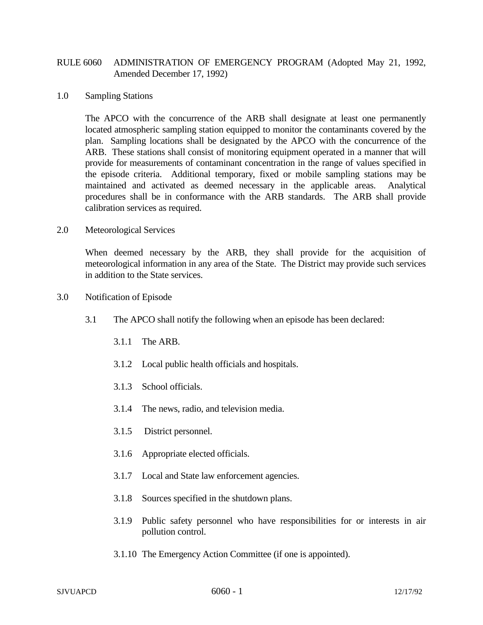## RULE 6060 ADMINISTRATION OF EMERGENCY PROGRAM (Adopted May 21, 1992, Amended December 17, 1992)

## 1.0 Sampling Stations

The APCO with the concurrence of the ARB shall designate at least one permanently located atmospheric sampling station equipped to monitor the contaminants covered by the plan. Sampling locations shall be designated by the APCO with the concurrence of the ARB. These stations shall consist of monitoring equipment operated in a manner that will provide for measurements of contaminant concentration in the range of values specified in the episode criteria. Additional temporary, fixed or mobile sampling stations may be maintained and activated as deemed necessary in the applicable areas. Analytical procedures shall be in conformance with the ARB standards. The ARB shall provide calibration services as required.

## 2.0 Meteorological Services

When deemed necessary by the ARB, they shall provide for the acquisition of meteorological information in any area of the State. The District may provide such services in addition to the State services.

- 3.0 Notification of Episode
	- 3.1 The APCO shall notify the following when an episode has been declared:
		- 3.1.1 The ARB.
		- 3.1.2 Local public health officials and hospitals.
		- 3.1.3 School officials.
		- 3.1.4 The news, radio, and television media.
		- 3.1.5 District personnel.
		- 3.1.6 Appropriate elected officials.
		- 3.1.7 Local and State law enforcement agencies.
		- 3.1.8 Sources specified in the shutdown plans.
		- 3.1.9 Public safety personnel who have responsibilities for or interests in air pollution control.
		- 3.1.10 The Emergency Action Committee (if one is appointed).